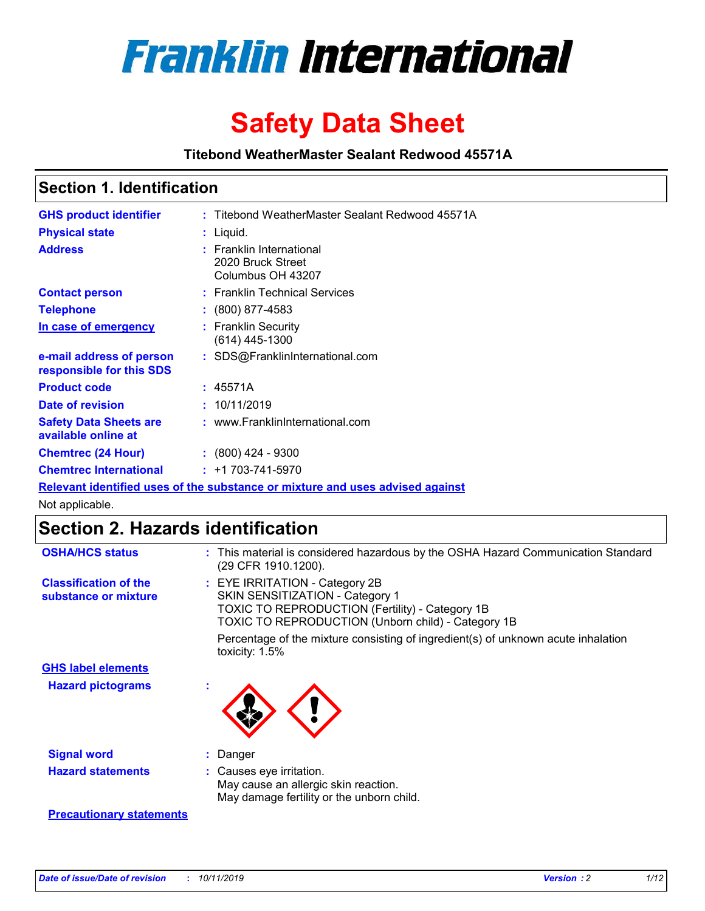

# **Safety Data Sheet**

**Titebond WeatherMaster Sealant Redwood 45571A**

### **Section 1. Identification**

| <b>GHS product identifier</b>                        | : Titebond WeatherMaster Sealant Redwood 45571A                               |
|------------------------------------------------------|-------------------------------------------------------------------------------|
| <b>Physical state</b>                                | : Liquid.                                                                     |
| <b>Address</b>                                       | : Franklin International<br>2020 Bruck Street<br>Columbus OH 43207            |
| <b>Contact person</b>                                | : Franklin Technical Services                                                 |
| <b>Telephone</b>                                     | $\div$ (800) 877-4583                                                         |
| In case of emergency                                 | : Franklin Security<br>(614) 445-1300                                         |
| e-mail address of person<br>responsible for this SDS | : SDS@FranklinInternational.com                                               |
| <b>Product code</b>                                  | : 45571A                                                                      |
| Date of revision                                     | : 10/11/2019                                                                  |
| <b>Safety Data Sheets are</b><br>available online at | : www.FranklinInternational.com                                               |
| <b>Chemtrec (24 Hour)</b>                            | $\div$ (800) 424 - 9300                                                       |
| <b>Chemtrec International</b>                        | $: +1703 - 741 - 5970$                                                        |
|                                                      | Relevant identified uses of the substance or mixture and uses advised against |

Not applicable.

## **Section 2. Hazards identification**

| <b>OSHA/HCS status</b>                               | : This material is considered hazardous by the OSHA Hazard Communication Standard<br>(29 CFR 1910.1200).                                                                                 |
|------------------------------------------------------|------------------------------------------------------------------------------------------------------------------------------------------------------------------------------------------|
| <b>Classification of the</b><br>substance or mixture | : EYE IRRITATION - Category 2B<br>SKIN SENSITIZATION - Category 1<br><b>TOXIC TO REPRODUCTION (Fertility) - Category 1B</b><br><b>TOXIC TO REPRODUCTION (Unborn child) - Category 1B</b> |
|                                                      | Percentage of the mixture consisting of ingredient(s) of unknown acute inhalation<br>toxicity: $1.5\%$                                                                                   |
| <b>GHS label elements</b>                            |                                                                                                                                                                                          |
| <b>Hazard pictograms</b>                             |                                                                                                                                                                                          |
| <b>Signal word</b>                                   | : Danger                                                                                                                                                                                 |
| <b>Hazard statements</b>                             | : Causes eye irritation.<br>May cause an allergic skin reaction.<br>May damage fertility or the unborn child.                                                                            |
| <b>Precautionary statements</b>                      |                                                                                                                                                                                          |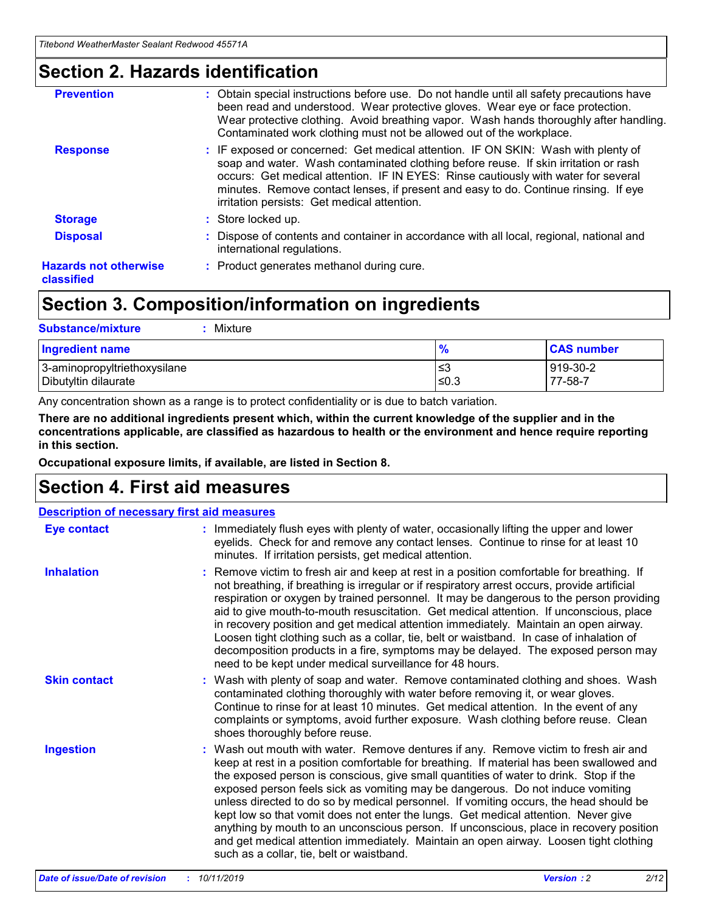### **Section 2. Hazards identification**

| <b>Prevention</b>                          | : Obtain special instructions before use. Do not handle until all safety precautions have<br>been read and understood. Wear protective gloves. Wear eye or face protection.<br>Wear protective clothing. Avoid breathing vapor. Wash hands thoroughly after handling.<br>Contaminated work clothing must not be allowed out of the workplace.                                                        |
|--------------------------------------------|------------------------------------------------------------------------------------------------------------------------------------------------------------------------------------------------------------------------------------------------------------------------------------------------------------------------------------------------------------------------------------------------------|
| <b>Response</b>                            | : IF exposed or concerned: Get medical attention. IF ON SKIN: Wash with plenty of<br>soap and water. Wash contaminated clothing before reuse. If skin irritation or rash<br>occurs: Get medical attention. IF IN EYES: Rinse cautiously with water for several<br>minutes. Remove contact lenses, if present and easy to do. Continue rinsing. If eye<br>irritation persists: Get medical attention. |
| <b>Storage</b>                             | : Store locked up.                                                                                                                                                                                                                                                                                                                                                                                   |
| <b>Disposal</b>                            | : Dispose of contents and container in accordance with all local, regional, national and<br>international regulations.                                                                                                                                                                                                                                                                               |
| <b>Hazards not otherwise</b><br>classified | : Product generates methanol during cure.                                                                                                                                                                                                                                                                                                                                                            |
|                                            |                                                                                                                                                                                                                                                                                                                                                                                                      |

### **Section 3. Composition/information on ingredients**

| <b>Substance/mixture</b><br>Mixture                  |                   |                     |
|------------------------------------------------------|-------------------|---------------------|
| <b>Ingredient name</b>                               | $\frac{9}{6}$     | <b>CAS number</b>   |
| 3-aminopropyltriethoxysilane<br>Dibutyltin dilaurate | l≤3<br>$\leq 0.3$ | 919-30-2<br>77-58-7 |

Any concentration shown as a range is to protect confidentiality or is due to batch variation.

**There are no additional ingredients present which, within the current knowledge of the supplier and in the concentrations applicable, are classified as hazardous to health or the environment and hence require reporting in this section.**

**Occupational exposure limits, if available, are listed in Section 8.**

### **Section 4. First aid measures**

| <b>Description of necessary first aid measures</b> |                                                                                                                                                                                                                                                                                                                                                                                                                                                                                                                                                                                                                                                                                                                                                                           |  |  |  |
|----------------------------------------------------|---------------------------------------------------------------------------------------------------------------------------------------------------------------------------------------------------------------------------------------------------------------------------------------------------------------------------------------------------------------------------------------------------------------------------------------------------------------------------------------------------------------------------------------------------------------------------------------------------------------------------------------------------------------------------------------------------------------------------------------------------------------------------|--|--|--|
| <b>Eye contact</b>                                 | : Immediately flush eyes with plenty of water, occasionally lifting the upper and lower<br>eyelids. Check for and remove any contact lenses. Continue to rinse for at least 10<br>minutes. If irritation persists, get medical attention.                                                                                                                                                                                                                                                                                                                                                                                                                                                                                                                                 |  |  |  |
| <b>Inhalation</b>                                  | : Remove victim to fresh air and keep at rest in a position comfortable for breathing. If<br>not breathing, if breathing is irregular or if respiratory arrest occurs, provide artificial<br>respiration or oxygen by trained personnel. It may be dangerous to the person providing<br>aid to give mouth-to-mouth resuscitation. Get medical attention. If unconscious, place<br>in recovery position and get medical attention immediately. Maintain an open airway.<br>Loosen tight clothing such as a collar, tie, belt or waistband. In case of inhalation of<br>decomposition products in a fire, symptoms may be delayed. The exposed person may<br>need to be kept under medical surveillance for 48 hours.                                                       |  |  |  |
| <b>Skin contact</b>                                | : Wash with plenty of soap and water. Remove contaminated clothing and shoes. Wash<br>contaminated clothing thoroughly with water before removing it, or wear gloves.<br>Continue to rinse for at least 10 minutes. Get medical attention. In the event of any<br>complaints or symptoms, avoid further exposure. Wash clothing before reuse. Clean<br>shoes thoroughly before reuse.                                                                                                                                                                                                                                                                                                                                                                                     |  |  |  |
| <b>Ingestion</b>                                   | : Wash out mouth with water. Remove dentures if any. Remove victim to fresh air and<br>keep at rest in a position comfortable for breathing. If material has been swallowed and<br>the exposed person is conscious, give small quantities of water to drink. Stop if the<br>exposed person feels sick as vomiting may be dangerous. Do not induce vomiting<br>unless directed to do so by medical personnel. If vomiting occurs, the head should be<br>kept low so that vomit does not enter the lungs. Get medical attention. Never give<br>anything by mouth to an unconscious person. If unconscious, place in recovery position<br>and get medical attention immediately. Maintain an open airway. Loosen tight clothing<br>such as a collar, tie, belt or waistband. |  |  |  |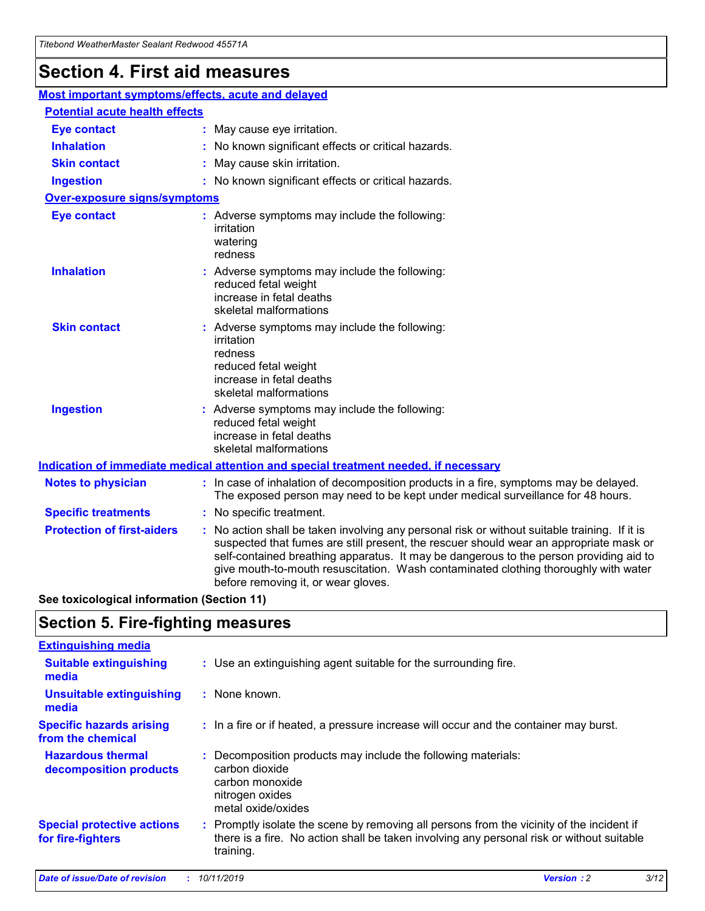## **Section 4. First aid measures**

| Most important symptoms/effects, acute and delayed |  |                                                                                                                                                                                                                                                                                                                                                                                                                 |  |
|----------------------------------------------------|--|-----------------------------------------------------------------------------------------------------------------------------------------------------------------------------------------------------------------------------------------------------------------------------------------------------------------------------------------------------------------------------------------------------------------|--|
| <b>Potential acute health effects</b>              |  |                                                                                                                                                                                                                                                                                                                                                                                                                 |  |
| <b>Eye contact</b>                                 |  | : May cause eye irritation.                                                                                                                                                                                                                                                                                                                                                                                     |  |
| <b>Inhalation</b>                                  |  | : No known significant effects or critical hazards.                                                                                                                                                                                                                                                                                                                                                             |  |
| <b>Skin contact</b>                                |  | : May cause skin irritation.                                                                                                                                                                                                                                                                                                                                                                                    |  |
| <b>Ingestion</b>                                   |  | : No known significant effects or critical hazards.                                                                                                                                                                                                                                                                                                                                                             |  |
| Over-exposure signs/symptoms                       |  |                                                                                                                                                                                                                                                                                                                                                                                                                 |  |
| <b>Eye contact</b>                                 |  | : Adverse symptoms may include the following:<br>irritation<br>watering<br>redness                                                                                                                                                                                                                                                                                                                              |  |
| <b>Inhalation</b>                                  |  | : Adverse symptoms may include the following:<br>reduced fetal weight<br>increase in fetal deaths<br>skeletal malformations                                                                                                                                                                                                                                                                                     |  |
| <b>Skin contact</b>                                |  | : Adverse symptoms may include the following:<br>irritation<br>redness<br>reduced fetal weight<br>increase in fetal deaths<br>skeletal malformations                                                                                                                                                                                                                                                            |  |
| <b>Ingestion</b>                                   |  | : Adverse symptoms may include the following:<br>reduced fetal weight<br>increase in fetal deaths<br>skeletal malformations                                                                                                                                                                                                                                                                                     |  |
|                                                    |  | <b>Indication of immediate medical attention and special treatment needed, if necessary</b>                                                                                                                                                                                                                                                                                                                     |  |
| <b>Notes to physician</b>                          |  | : In case of inhalation of decomposition products in a fire, symptoms may be delayed.<br>The exposed person may need to be kept under medical surveillance for 48 hours.                                                                                                                                                                                                                                        |  |
| <b>Specific treatments</b>                         |  | : No specific treatment.                                                                                                                                                                                                                                                                                                                                                                                        |  |
| <b>Protection of first-aiders</b>                  |  | : No action shall be taken involving any personal risk or without suitable training. If it is<br>suspected that fumes are still present, the rescuer should wear an appropriate mask or<br>self-contained breathing apparatus. It may be dangerous to the person providing aid to<br>give mouth-to-mouth resuscitation. Wash contaminated clothing thoroughly with water<br>before removing it, or wear gloves. |  |

**See toxicological information (Section 11)**

### **Section 5. Fire-fighting measures**

| <b>Extinguishing media</b>                             |                                                                                                                                                                                                     |
|--------------------------------------------------------|-----------------------------------------------------------------------------------------------------------------------------------------------------------------------------------------------------|
| <b>Suitable extinguishing</b><br>media                 | : Use an extinguishing agent suitable for the surrounding fire.                                                                                                                                     |
| <b>Unsuitable extinguishing</b><br>media               | : None known.                                                                                                                                                                                       |
| <b>Specific hazards arising</b><br>from the chemical   | : In a fire or if heated, a pressure increase will occur and the container may burst.                                                                                                               |
| <b>Hazardous thermal</b><br>decomposition products     | : Decomposition products may include the following materials:<br>carbon dioxide<br>carbon monoxide<br>nitrogen oxides<br>metal oxide/oxides                                                         |
| <b>Special protective actions</b><br>for fire-fighters | : Promptly isolate the scene by removing all persons from the vicinity of the incident if<br>there is a fire. No action shall be taken involving any personal risk or without suitable<br>training. |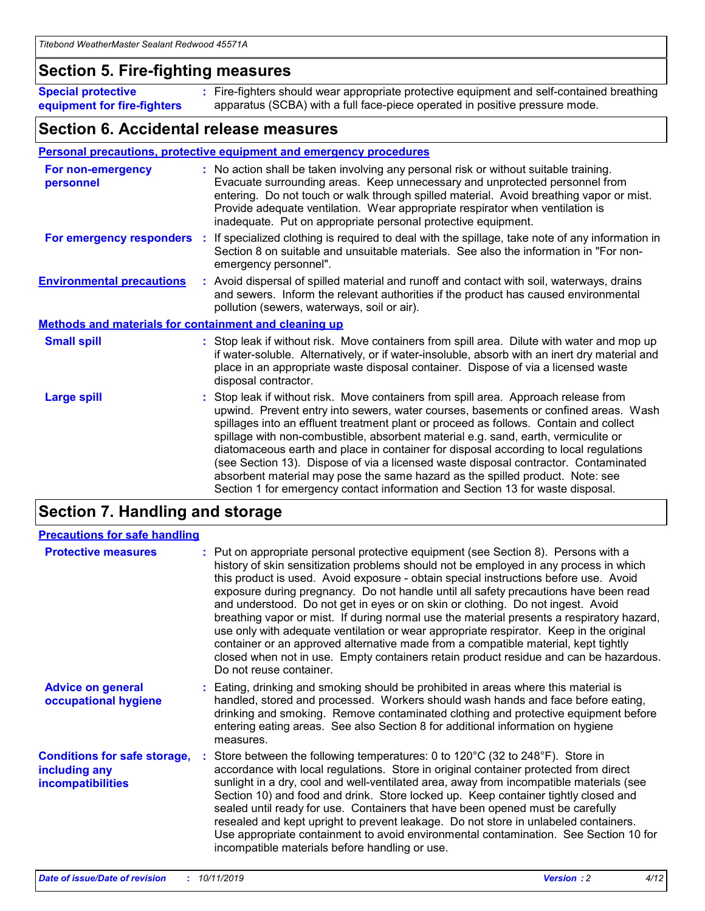### **Section 5. Fire-fighting measures**

**Special protective equipment for fire-fighters** Fire-fighters should wear appropriate protective equipment and self-contained breathing **:** apparatus (SCBA) with a full face-piece operated in positive pressure mode.

### **Section 6. Accidental release measures**

#### **Personal precautions, protective equipment and emergency procedures**

| For non-emergency<br>personnel                               | : No action shall be taken involving any personal risk or without suitable training.<br>Evacuate surrounding areas. Keep unnecessary and unprotected personnel from<br>entering. Do not touch or walk through spilled material. Avoid breathing vapor or mist.<br>Provide adequate ventilation. Wear appropriate respirator when ventilation is<br>inadequate. Put on appropriate personal protective equipment.                                                                                                                                                                                                                                                                                             |
|--------------------------------------------------------------|--------------------------------------------------------------------------------------------------------------------------------------------------------------------------------------------------------------------------------------------------------------------------------------------------------------------------------------------------------------------------------------------------------------------------------------------------------------------------------------------------------------------------------------------------------------------------------------------------------------------------------------------------------------------------------------------------------------|
| For emergency responders                                     | : If specialized clothing is required to deal with the spillage, take note of any information in<br>Section 8 on suitable and unsuitable materials. See also the information in "For non-<br>emergency personnel".                                                                                                                                                                                                                                                                                                                                                                                                                                                                                           |
| <b>Environmental precautions</b>                             | : Avoid dispersal of spilled material and runoff and contact with soil, waterways, drains<br>and sewers. Inform the relevant authorities if the product has caused environmental<br>pollution (sewers, waterways, soil or air).                                                                                                                                                                                                                                                                                                                                                                                                                                                                              |
| <b>Methods and materials for containment and cleaning up</b> |                                                                                                                                                                                                                                                                                                                                                                                                                                                                                                                                                                                                                                                                                                              |
| <b>Small spill</b>                                           | : Stop leak if without risk. Move containers from spill area. Dilute with water and mop up<br>if water-soluble. Alternatively, or if water-insoluble, absorb with an inert dry material and<br>place in an appropriate waste disposal container. Dispose of via a licensed waste<br>disposal contractor.                                                                                                                                                                                                                                                                                                                                                                                                     |
| <b>Large spill</b>                                           | : Stop leak if without risk. Move containers from spill area. Approach release from<br>upwind. Prevent entry into sewers, water courses, basements or confined areas. Wash<br>spillages into an effluent treatment plant or proceed as follows. Contain and collect<br>spillage with non-combustible, absorbent material e.g. sand, earth, vermiculite or<br>diatomaceous earth and place in container for disposal according to local regulations<br>(see Section 13). Dispose of via a licensed waste disposal contractor. Contaminated<br>absorbent material may pose the same hazard as the spilled product. Note: see<br>Section 1 for emergency contact information and Section 13 for waste disposal. |

### **Section 7. Handling and storage**

| <b>Precautions for safe handling</b>                                             |                                                                                                                                                                                                                                                                                                                                                                                                                                                                                                                                                                                                                                                                                                                                                                                                                                                  |
|----------------------------------------------------------------------------------|--------------------------------------------------------------------------------------------------------------------------------------------------------------------------------------------------------------------------------------------------------------------------------------------------------------------------------------------------------------------------------------------------------------------------------------------------------------------------------------------------------------------------------------------------------------------------------------------------------------------------------------------------------------------------------------------------------------------------------------------------------------------------------------------------------------------------------------------------|
| <b>Protective measures</b>                                                       | : Put on appropriate personal protective equipment (see Section 8). Persons with a<br>history of skin sensitization problems should not be employed in any process in which<br>this product is used. Avoid exposure - obtain special instructions before use. Avoid<br>exposure during pregnancy. Do not handle until all safety precautions have been read<br>and understood. Do not get in eyes or on skin or clothing. Do not ingest. Avoid<br>breathing vapor or mist. If during normal use the material presents a respiratory hazard,<br>use only with adequate ventilation or wear appropriate respirator. Keep in the original<br>container or an approved alternative made from a compatible material, kept tightly<br>closed when not in use. Empty containers retain product residue and can be hazardous.<br>Do not reuse container. |
| <b>Advice on general</b><br>occupational hygiene                                 | : Eating, drinking and smoking should be prohibited in areas where this material is<br>handled, stored and processed. Workers should wash hands and face before eating,<br>drinking and smoking. Remove contaminated clothing and protective equipment before<br>entering eating areas. See also Section 8 for additional information on hygiene<br>measures.                                                                                                                                                                                                                                                                                                                                                                                                                                                                                    |
| <b>Conditions for safe storage,</b><br>including any<br><b>incompatibilities</b> | Store between the following temperatures: 0 to $120^{\circ}$ C (32 to $248^{\circ}$ F). Store in<br>accordance with local regulations. Store in original container protected from direct<br>sunlight in a dry, cool and well-ventilated area, away from incompatible materials (see<br>Section 10) and food and drink. Store locked up. Keep container tightly closed and<br>sealed until ready for use. Containers that have been opened must be carefully<br>resealed and kept upright to prevent leakage. Do not store in unlabeled containers.<br>Use appropriate containment to avoid environmental contamination. See Section 10 for<br>incompatible materials before handling or use.                                                                                                                                                     |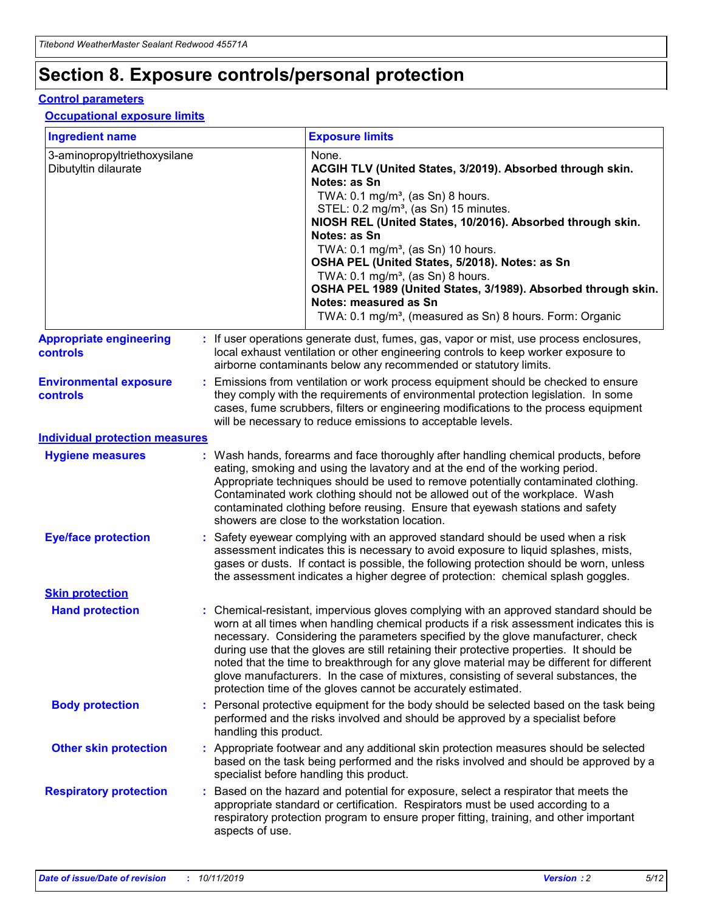## **Section 8. Exposure controls/personal protection**

#### **Control parameters**

#### **Occupational exposure limits**

| <b>Ingredient name</b>                               |    |                        | <b>Exposure limits</b>                                                                                                                                                                                                                                                                                                                                                                                                                                                                                                                                                                                                 |
|------------------------------------------------------|----|------------------------|------------------------------------------------------------------------------------------------------------------------------------------------------------------------------------------------------------------------------------------------------------------------------------------------------------------------------------------------------------------------------------------------------------------------------------------------------------------------------------------------------------------------------------------------------------------------------------------------------------------------|
| 3-aminopropyltriethoxysilane<br>Dibutyltin dilaurate |    |                        | None.<br>ACGIH TLV (United States, 3/2019). Absorbed through skin.<br>Notes: as Sn<br>TWA: $0.1 \text{ mg/m}^3$ , (as Sn) 8 hours.<br>STEL: 0.2 mg/m <sup>3</sup> , (as Sn) 15 minutes.<br>NIOSH REL (United States, 10/2016). Absorbed through skin.<br>Notes: as Sn<br>TWA: 0.1 mg/m <sup>3</sup> , (as Sn) 10 hours.<br>OSHA PEL (United States, 5/2018). Notes: as Sn<br>TWA: $0.1 \text{ mg/m}^3$ , (as Sn) 8 hours.<br>OSHA PEL 1989 (United States, 3/1989). Absorbed through skin.<br>Notes: measured as Sn<br>TWA: 0.1 mg/m <sup>3</sup> , (measured as Sn) 8 hours. Form: Organic                            |
| <b>Appropriate engineering</b><br>controls           |    |                        | : If user operations generate dust, fumes, gas, vapor or mist, use process enclosures,<br>local exhaust ventilation or other engineering controls to keep worker exposure to<br>airborne contaminants below any recommended or statutory limits.                                                                                                                                                                                                                                                                                                                                                                       |
| <b>Environmental exposure</b><br>controls            |    |                        | Emissions from ventilation or work process equipment should be checked to ensure<br>they comply with the requirements of environmental protection legislation. In some<br>cases, fume scrubbers, filters or engineering modifications to the process equipment<br>will be necessary to reduce emissions to acceptable levels.                                                                                                                                                                                                                                                                                          |
| <b>Individual protection measures</b>                |    |                        |                                                                                                                                                                                                                                                                                                                                                                                                                                                                                                                                                                                                                        |
| <b>Hygiene measures</b>                              |    |                        | : Wash hands, forearms and face thoroughly after handling chemical products, before<br>eating, smoking and using the lavatory and at the end of the working period.<br>Appropriate techniques should be used to remove potentially contaminated clothing.<br>Contaminated work clothing should not be allowed out of the workplace. Wash<br>contaminated clothing before reusing. Ensure that eyewash stations and safety<br>showers are close to the workstation location.                                                                                                                                            |
| <b>Eye/face protection</b>                           |    |                        | : Safety eyewear complying with an approved standard should be used when a risk<br>assessment indicates this is necessary to avoid exposure to liquid splashes, mists,<br>gases or dusts. If contact is possible, the following protection should be worn, unless<br>the assessment indicates a higher degree of protection: chemical splash goggles.                                                                                                                                                                                                                                                                  |
| <b>Skin protection</b>                               |    |                        |                                                                                                                                                                                                                                                                                                                                                                                                                                                                                                                                                                                                                        |
| <b>Hand protection</b>                               |    |                        | : Chemical-resistant, impervious gloves complying with an approved standard should be<br>worn at all times when handling chemical products if a risk assessment indicates this is<br>necessary. Considering the parameters specified by the glove manufacturer, check<br>during use that the gloves are still retaining their protective properties. It should be<br>noted that the time to breakthrough for any glove material may be different for different<br>glove manufacturers. In the case of mixtures, consisting of several substances, the<br>protection time of the gloves cannot be accurately estimated. |
| <b>Body protection</b>                               |    | handling this product. | Personal protective equipment for the body should be selected based on the task being<br>performed and the risks involved and should be approved by a specialist before                                                                                                                                                                                                                                                                                                                                                                                                                                                |
| <b>Other skin protection</b>                         |    |                        | : Appropriate footwear and any additional skin protection measures should be selected<br>based on the task being performed and the risks involved and should be approved by a<br>specialist before handling this product.                                                                                                                                                                                                                                                                                                                                                                                              |
| <b>Respiratory protection</b>                        | ÷. | aspects of use.        | Based on the hazard and potential for exposure, select a respirator that meets the<br>appropriate standard or certification. Respirators must be used according to a<br>respiratory protection program to ensure proper fitting, training, and other important                                                                                                                                                                                                                                                                                                                                                         |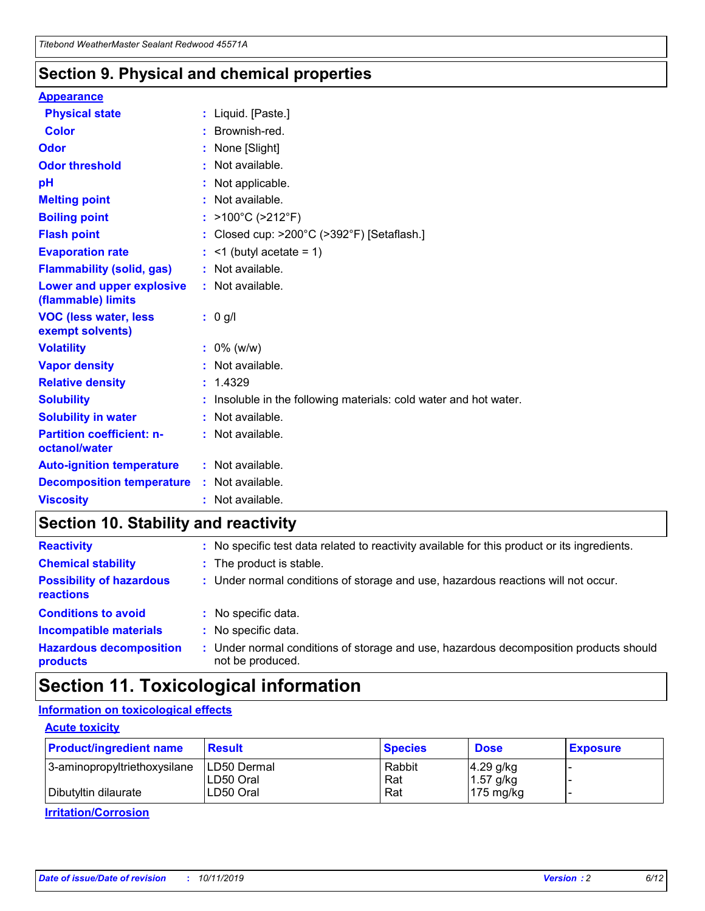### **Section 9. Physical and chemical properties**

#### **Appearance**

| <b>Physical state</b>                             | : Liquid. [Paste.]                                                |
|---------------------------------------------------|-------------------------------------------------------------------|
| <b>Color</b>                                      | : Brownish-red.                                                   |
| Odor                                              | : None [Slight]                                                   |
| <b>Odor threshold</b>                             | : Not available.                                                  |
| рH                                                | : Not applicable.                                                 |
| <b>Melting point</b>                              | : Not available.                                                  |
| <b>Boiling point</b>                              | : >100°C (>212°F)                                                 |
| <b>Flash point</b>                                | : Closed cup: $>200^{\circ}$ C ( $>392^{\circ}$ F) [Setaflash.]   |
| <b>Evaporation rate</b>                           | $:$ <1 (butyl acetate = 1)                                        |
| <b>Flammability (solid, gas)</b>                  | : Not available.                                                  |
| Lower and upper explosive<br>(flammable) limits   | $:$ Not available.                                                |
| <b>VOC (less water, less)</b><br>exempt solvents) | : 0 g/l                                                           |
|                                                   |                                                                   |
| <b>Volatility</b>                                 | $: 0\%$ (w/w)                                                     |
| <b>Vapor density</b>                              | : Not available.                                                  |
| <b>Relative density</b>                           | : 1.4329                                                          |
| <b>Solubility</b>                                 | : Insoluble in the following materials: cold water and hot water. |
| <b>Solubility in water</b>                        | : Not available.                                                  |
| <b>Partition coefficient: n-</b><br>octanol/water | : Not available.                                                  |
| <b>Auto-ignition temperature</b>                  | : Not available.                                                  |
| <b>Decomposition temperature</b>                  | : Not available.                                                  |

### **Section 10. Stability and reactivity**

| <b>Reactivity</b>                            | : No specific test data related to reactivity available for this product or its ingredients.            |
|----------------------------------------------|---------------------------------------------------------------------------------------------------------|
| <b>Chemical stability</b>                    | : The product is stable.                                                                                |
| <b>Possibility of hazardous</b><br>reactions | : Under normal conditions of storage and use, hazardous reactions will not occur.                       |
| <b>Conditions to avoid</b>                   | : No specific data.                                                                                     |
| <b>Incompatible materials</b>                | : No specific data.                                                                                     |
| <b>Hazardous decomposition</b><br>products   | Under normal conditions of storage and use, hazardous decomposition products should<br>not be produced. |

### **Section 11. Toxicological information**

### **Information on toxicological effects**

#### **Acute toxicity**

| <b>Product/ingredient name</b> | <b>Result</b>           | <b>Species</b> | <b>Dose</b>                | <b>Exposure</b> |
|--------------------------------|-------------------------|----------------|----------------------------|-----------------|
| 3-aminopropyltriethoxysilane   | <b>ILD50 Dermal</b>     | Rabbit         | 4.29 g/kg                  |                 |
| Dibutyltin dilaurate           | ILD50 Oral<br>LD50 Oral | Rat<br>Rat     | $1.57$ g/kg<br>175 $mg/kg$ |                 |
|                                |                         |                |                            |                 |

**Irritation/Corrosion**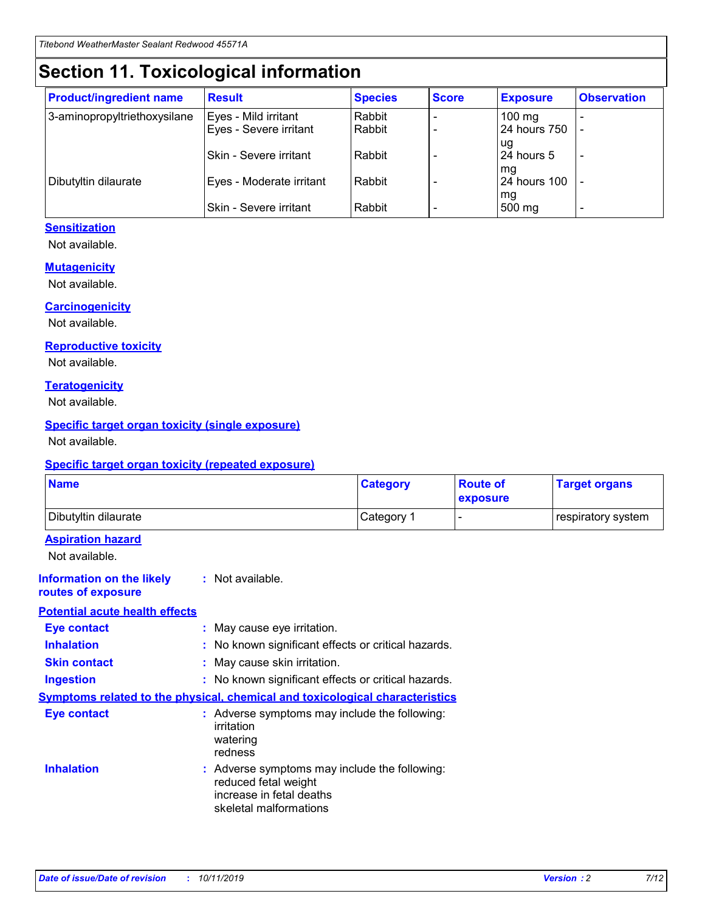## **Section 11. Toxicological information**

| <b>Product/ingredient name</b> | <b>Result</b>                 | <b>Species</b> | <b>Score</b> | <b>Exposure</b>    | <b>Observation</b> |
|--------------------------------|-------------------------------|----------------|--------------|--------------------|--------------------|
| 3-aminopropyltriethoxysilane   | Eyes - Mild irritant          | Rabbit         |              | $100$ mg           |                    |
|                                | Eyes - Severe irritant        | Rabbit         |              | 24 hours 750       |                    |
|                                |                               |                |              | ug                 |                    |
|                                | <b>Skin - Severe irritant</b> | Rabbit         |              | 24 hours 5         | ۰                  |
| Dibutyltin dilaurate           | Eyes - Moderate irritant      | Rabbit         |              | mq<br>24 hours 100 |                    |
|                                |                               |                |              | mg                 |                    |
|                                | Skin - Severe irritant        | Rabbit         |              | 500 mg             |                    |

#### **Sensitization**

Not available.

#### **Mutagenicity**

Not available.

#### **Carcinogenicity**

Not available.

#### **Reproductive toxicity**

Not available.

#### **Teratogenicity**

Not available.

#### **Specific target organ toxicity (single exposure)**

Not available.

#### **Specific target organ toxicity (repeated exposure)**

| <b>Name</b>                                                                         |                                                                            | <b>Category</b>                                     | <b>Route of</b><br>exposure | <b>Target organs</b> |
|-------------------------------------------------------------------------------------|----------------------------------------------------------------------------|-----------------------------------------------------|-----------------------------|----------------------|
| Dibutyltin dilaurate                                                                |                                                                            | Category 1                                          |                             | respiratory system   |
| <b>Aspiration hazard</b><br>Not available.                                          |                                                                            |                                                     |                             |                      |
| <b>Information on the likely</b><br>routes of exposure                              | : Not available.                                                           |                                                     |                             |                      |
| <b>Potential acute health effects</b>                                               |                                                                            |                                                     |                             |                      |
| <b>Eye contact</b>                                                                  | : May cause eye irritation.                                                |                                                     |                             |                      |
| <b>Inhalation</b>                                                                   |                                                                            | : No known significant effects or critical hazards. |                             |                      |
| <b>Skin contact</b>                                                                 | : May cause skin irritation.                                               |                                                     |                             |                      |
| <b>Ingestion</b>                                                                    |                                                                            | : No known significant effects or critical hazards. |                             |                      |
| <b>Symptoms related to the physical, chemical and toxicological characteristics</b> |                                                                            |                                                     |                             |                      |
| <b>Eye contact</b>                                                                  | irritation<br>watering<br>redness                                          | : Adverse symptoms may include the following:       |                             |                      |
| <b>Inhalation</b>                                                                   | reduced fetal weight<br>increase in fetal deaths<br>skeletal malformations | : Adverse symptoms may include the following:       |                             |                      |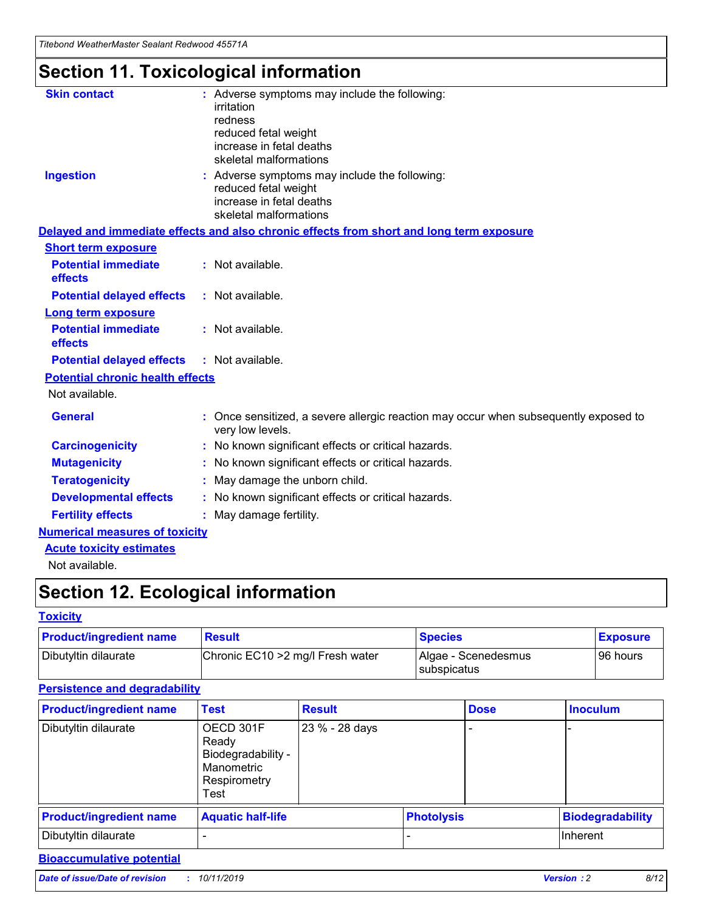*Titebond WeatherMaster Sealant Redwood 45571A*

## **Section 11. Toxicological information**

| <b>Skin contact</b>                     | : Adverse symptoms may include the following:<br>irritation<br>redness<br>reduced fetal weight<br>increase in fetal deaths<br>skeletal malformations |
|-----------------------------------------|------------------------------------------------------------------------------------------------------------------------------------------------------|
| <b>Ingestion</b>                        | : Adverse symptoms may include the following:<br>reduced fetal weight<br>increase in fetal deaths<br>skeletal malformations                          |
|                                         | Delayed and immediate effects and also chronic effects from short and long term exposure                                                             |
| <b>Short term exposure</b>              |                                                                                                                                                      |
| <b>Potential immediate</b><br>effects   | : Not available.                                                                                                                                     |
| <b>Potential delayed effects</b>        | : Not available.                                                                                                                                     |
| Long term exposure                      |                                                                                                                                                      |
| <b>Potential immediate</b><br>effects   | : Not available.                                                                                                                                     |
| <b>Potential delayed effects</b>        | : Not available.                                                                                                                                     |
| <b>Potential chronic health effects</b> |                                                                                                                                                      |
| Not available.                          |                                                                                                                                                      |
| <b>General</b>                          | Once sensitized, a severe allergic reaction may occur when subsequently exposed to<br>very low levels.                                               |
| <b>Carcinogenicity</b>                  | : No known significant effects or critical hazards.                                                                                                  |
| <b>Mutagenicity</b>                     | : No known significant effects or critical hazards.                                                                                                  |
| <b>Teratogenicity</b>                   | May damage the unborn child.                                                                                                                         |
| <b>Developmental effects</b>            | : No known significant effects or critical hazards.                                                                                                  |
| <b>Fertility effects</b>                | : May damage fertility.                                                                                                                              |
| <b>Numerical measures of toxicity</b>   |                                                                                                                                                      |
| <b>Acute toxicity estimates</b>         |                                                                                                                                                      |
| الملمانون بمللملة                       |                                                                                                                                                      |

Not available.

## **Section 12. Ecological information**

#### **Toxicity**

| <b>Product/ingredient name</b> | <b>Result</b>                     | <b>Species</b>                       | <b>Exposure</b> |
|--------------------------------|-----------------------------------|--------------------------------------|-----------------|
| Dibutyltin dilaurate           | Chronic EC10 > 2 mg/l Fresh water | Algae - Scenedesmus<br>I subspicatus | l 96 hours      |

### **Persistence and degradability**

| <b>Product/ingredient name</b> | <b>Test</b>                                                                    | <b>Result</b>  |                   | <b>Dose</b> | <b>Inoculum</b>         |
|--------------------------------|--------------------------------------------------------------------------------|----------------|-------------------|-------------|-------------------------|
| Dibutyltin dilaurate           | OECD 301F<br>Ready<br>Biodegradability -<br>Manometric<br>Respirometry<br>Test | 23 % - 28 days |                   |             |                         |
| <b>Product/ingredient name</b> | <b>Aquatic half-life</b>                                                       |                | <b>Photolysis</b> |             | <b>Biodegradability</b> |
| Dibutyltin dilaurate           |                                                                                |                |                   |             | Inherent                |

### **Bioaccumulative potential**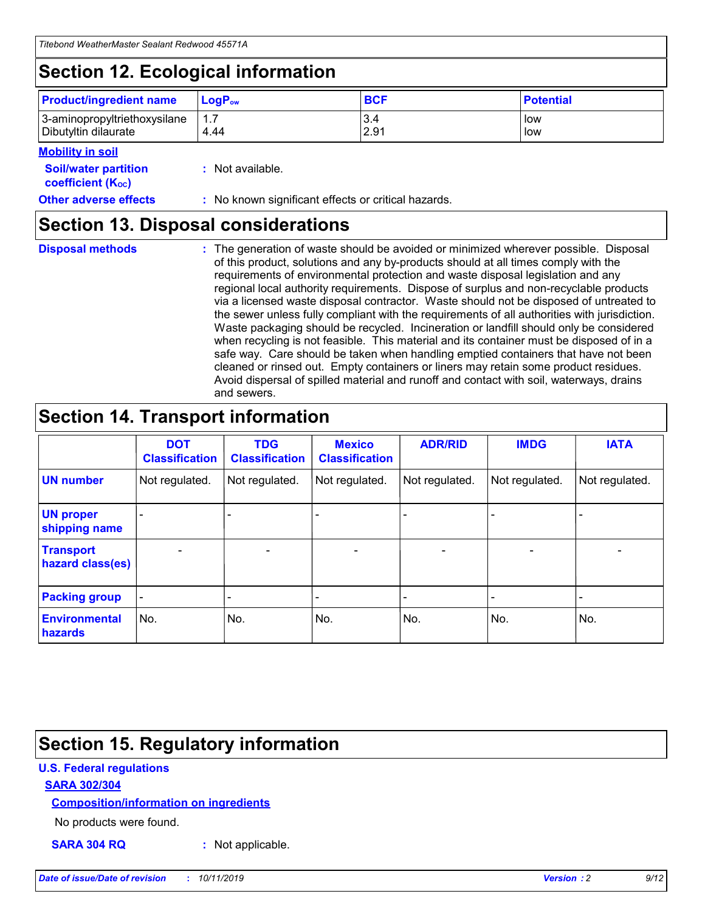## **Section 12. Ecological information**

| <b>Product/ingredient name</b> | $LoaPow$ | <b>BCF</b> | <b>Potential</b> |
|--------------------------------|----------|------------|------------------|
| 3-aminopropyltriethoxysilane   | 1.7      | 3.4        | low              |
| Dibutyltin dilaurate           | 4.44     | 2.91       | low              |

#### **Mobility in soil**

| <i></i>                                                       |                                                     |
|---------------------------------------------------------------|-----------------------------------------------------|
| <b>Soil/water partition</b><br>coefficient (K <sub>oc</sub> ) | : Not available.                                    |
| <b>Other adverse effects</b>                                  | : No known significant effects or critical hazards. |

### **Section 13. Disposal considerations**

|  | <b>Disposal methods</b> |  |
|--|-------------------------|--|

**Disposal methods** : The generation of waste should be avoided or minimized wherever possible. Disposal of this product, solutions and any by-products should at all times comply with the requirements of environmental protection and waste disposal legislation and any regional local authority requirements. Dispose of surplus and non-recyclable products via a licensed waste disposal contractor. Waste should not be disposed of untreated to the sewer unless fully compliant with the requirements of all authorities with jurisdiction. Waste packaging should be recycled. Incineration or landfill should only be considered when recycling is not feasible. This material and its container must be disposed of in a safe way. Care should be taken when handling emptied containers that have not been cleaned or rinsed out. Empty containers or liners may retain some product residues. Avoid dispersal of spilled material and runoff and contact with soil, waterways, drains and sewers.

## **Section 14. Transport information**

|                                      | <b>DOT</b><br><b>Classification</b> | <b>TDG</b><br><b>Classification</b> | <b>Mexico</b><br><b>Classification</b> | <b>ADR/RID</b>               | <b>IMDG</b>    | <b>IATA</b>    |
|--------------------------------------|-------------------------------------|-------------------------------------|----------------------------------------|------------------------------|----------------|----------------|
| <b>UN number</b>                     | Not regulated.                      | Not regulated.                      | Not regulated.                         | Not regulated.               | Not regulated. | Not regulated. |
| <b>UN proper</b><br>shipping name    |                                     |                                     |                                        |                              |                |                |
| <b>Transport</b><br>hazard class(es) | $\blacksquare$                      | $\overline{\phantom{0}}$            | $\overline{\phantom{a}}$               | $\qquad \qquad \blacksquare$ | $\blacksquare$ | $\blacksquare$ |
| <b>Packing group</b>                 | $\overline{\phantom{a}}$            | -                                   |                                        | -                            |                | -              |
| <b>Environmental</b><br>hazards      | No.                                 | No.                                 | No.                                    | No.                          | No.            | No.            |

## **Section 15. Regulatory information**

#### **U.S. Federal regulations**

#### **SARA 302/304**

#### **Composition/information on ingredients**

No products were found.

**SARA 304 RQ :** Not applicable.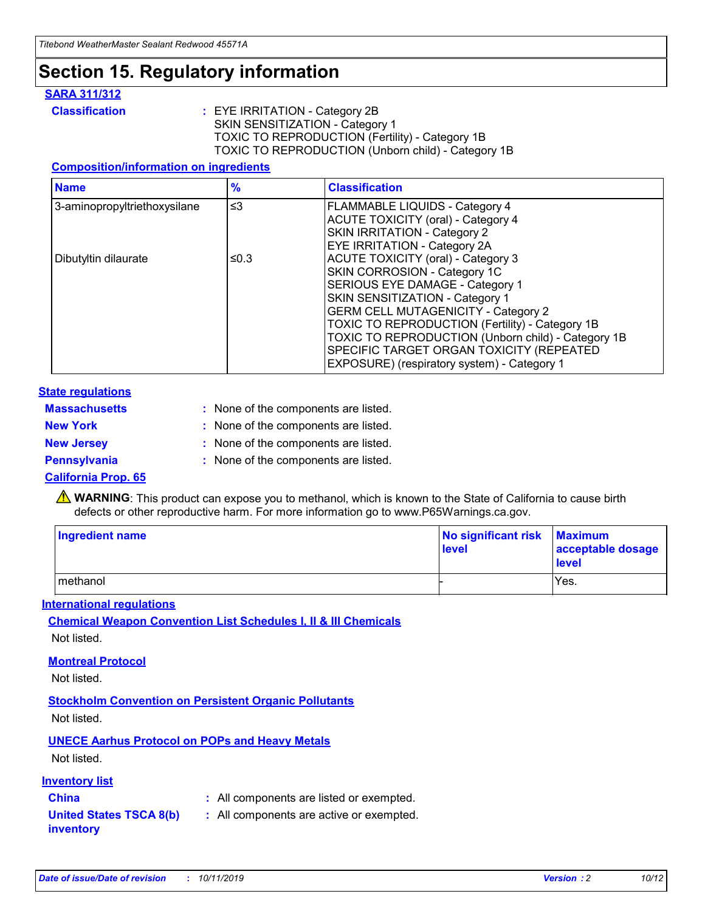## **Section 15. Regulatory information**

#### **SARA 311/312**

**Classification :** EYE IRRITATION - Category 2B SKIN SENSITIZATION - Category 1 TOXIC TO REPRODUCTION (Fertility) - Category 1B TOXIC TO REPRODUCTION (Unborn child) - Category 1B

#### **Composition/information on ingredients**

| <b>Name</b>                  | $\frac{9}{6}$ | <b>Classification</b>                                                                                                                                                                                                                                                                                                                  |
|------------------------------|---------------|----------------------------------------------------------------------------------------------------------------------------------------------------------------------------------------------------------------------------------------------------------------------------------------------------------------------------------------|
| 3-aminopropyltriethoxysilane | $\leq$ 3      | <b>FLAMMABLE LIQUIDS - Category 4</b><br><b>ACUTE TOXICITY (oral) - Category 4</b><br>SKIN IRRITATION - Category 2                                                                                                                                                                                                                     |
| Dibutyltin dilaurate         | ≤0.3          | EYE IRRITATION - Category 2A<br><b>ACUTE TOXICITY (oral) - Category 3</b><br>SKIN CORROSION - Category 1C<br>SERIOUS EYE DAMAGE - Category 1<br>SKIN SENSITIZATION - Category 1<br><b>GERM CELL MUTAGENICITY - Category 2</b><br>TOXIC TO REPRODUCTION (Fertility) - Category 1B<br>TOXIC TO REPRODUCTION (Unborn child) - Category 1B |
|                              |               | SPECIFIC TARGET ORGAN TOXICITY (REPEATED<br>EXPOSURE) (respiratory system) - Category 1                                                                                                                                                                                                                                                |

#### **State regulations**

| <b>Massachusetts</b> | : None of the components are listed. |
|----------------------|--------------------------------------|
| <b>New York</b>      | : None of the components are listed. |
| <b>New Jersey</b>    | : None of the components are listed. |
| Pennsylvania         | : None of the components are listed. |

#### **California Prop. 65**

**A** WARNING: This product can expose you to methanol, which is known to the State of California to cause birth defects or other reproductive harm. For more information go to www.P65Warnings.ca.gov.

| <b>Ingredient name</b> | No significant risk Maximum<br>level | acceptable dosage<br>level |
|------------------------|--------------------------------------|----------------------------|
| methanol               |                                      | Yes.                       |

#### **International regulations**

**Chemical Weapon Convention List Schedules I, II & III Chemicals** Not listed.

#### **Montreal Protocol**

Not listed.

**Stockholm Convention on Persistent Organic Pollutants**

Not listed.

### **UNECE Aarhus Protocol on POPs and Heavy Metals**

Not listed.

#### **Inventory list**

### **China :** All components are listed or exempted.

**United States TSCA 8(b) inventory :** All components are active or exempted.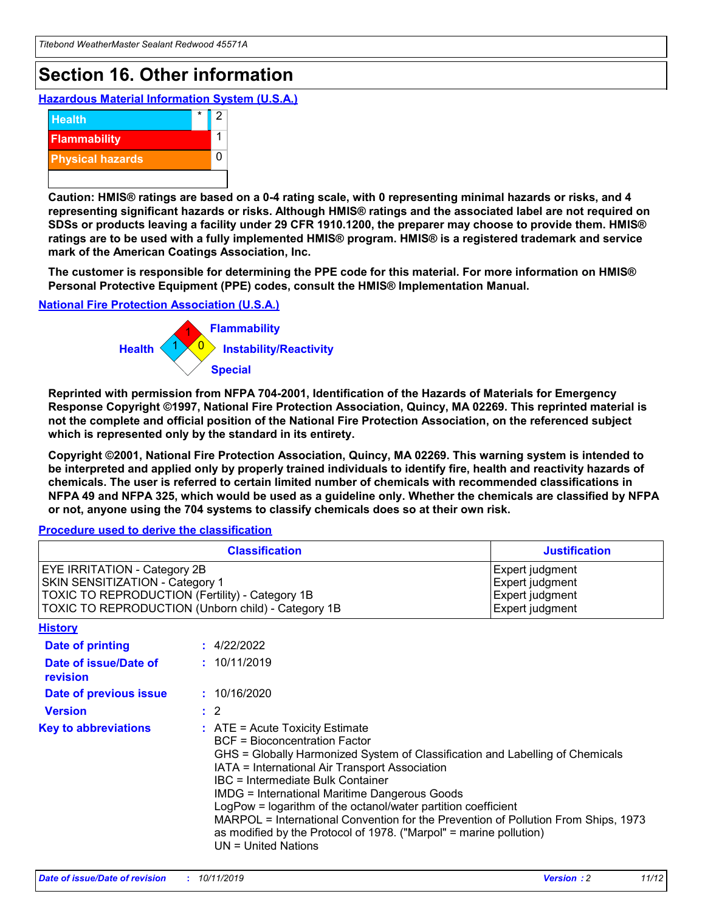## **Section 16. Other information**

**Hazardous Material Information System (U.S.A.)**



**Caution: HMIS® ratings are based on a 0-4 rating scale, with 0 representing minimal hazards or risks, and 4 representing significant hazards or risks. Although HMIS® ratings and the associated label are not required on SDSs or products leaving a facility under 29 CFR 1910.1200, the preparer may choose to provide them. HMIS® ratings are to be used with a fully implemented HMIS® program. HMIS® is a registered trademark and service mark of the American Coatings Association, Inc.**

**The customer is responsible for determining the PPE code for this material. For more information on HMIS® Personal Protective Equipment (PPE) codes, consult the HMIS® Implementation Manual.**

#### **National Fire Protection Association (U.S.A.)**



**Reprinted with permission from NFPA 704-2001, Identification of the Hazards of Materials for Emergency Response Copyright ©1997, National Fire Protection Association, Quincy, MA 02269. This reprinted material is not the complete and official position of the National Fire Protection Association, on the referenced subject which is represented only by the standard in its entirety.**

**Copyright ©2001, National Fire Protection Association, Quincy, MA 02269. This warning system is intended to be interpreted and applied only by properly trained individuals to identify fire, health and reactivity hazards of chemicals. The user is referred to certain limited number of chemicals with recommended classifications in NFPA 49 and NFPA 325, which would be used as a guideline only. Whether the chemicals are classified by NFPA or not, anyone using the 704 systems to classify chemicals does so at their own risk.**

#### **Procedure used to derive the classification**

|                                                                                                                                  | <b>Classification</b>                                                                                                                                                                                                                                                                                                                                                                                                                                                                                                                                                           | <b>Justification</b>                                                     |
|----------------------------------------------------------------------------------------------------------------------------------|---------------------------------------------------------------------------------------------------------------------------------------------------------------------------------------------------------------------------------------------------------------------------------------------------------------------------------------------------------------------------------------------------------------------------------------------------------------------------------------------------------------------------------------------------------------------------------|--------------------------------------------------------------------------|
| <b>EYE IRRITATION - Category 2B</b><br>SKIN SENSITIZATION - Category 1<br><b>TOXIC TO REPRODUCTION (Fertility) - Category 1B</b> | TOXIC TO REPRODUCTION (Unborn child) - Category 1B                                                                                                                                                                                                                                                                                                                                                                                                                                                                                                                              | Expert judgment<br>Expert judgment<br>Expert judgment<br>Expert judgment |
| <b>History</b>                                                                                                                   |                                                                                                                                                                                                                                                                                                                                                                                                                                                                                                                                                                                 |                                                                          |
| <b>Date of printing</b>                                                                                                          | : 4/22/2022                                                                                                                                                                                                                                                                                                                                                                                                                                                                                                                                                                     |                                                                          |
| Date of issue/Date of<br>revision                                                                                                | : 10/11/2019                                                                                                                                                                                                                                                                                                                                                                                                                                                                                                                                                                    |                                                                          |
| Date of previous issue                                                                                                           | : 10/16/2020                                                                                                                                                                                                                                                                                                                                                                                                                                                                                                                                                                    |                                                                          |
| <b>Version</b>                                                                                                                   | $\therefore$ 2                                                                                                                                                                                                                                                                                                                                                                                                                                                                                                                                                                  |                                                                          |
| <b>Key to abbreviations</b>                                                                                                      | $\therefore$ ATE = Acute Toxicity Estimate<br><b>BCF</b> = Bioconcentration Factor<br>GHS = Globally Harmonized System of Classification and Labelling of Chemicals<br>IATA = International Air Transport Association<br><b>IBC</b> = Intermediate Bulk Container<br><b>IMDG = International Maritime Dangerous Goods</b><br>LogPow = logarithm of the octanol/water partition coefficient<br>MARPOL = International Convention for the Prevention of Pollution From Ships, 1973<br>as modified by the Protocol of 1978. ("Marpol" = marine pollution)<br>$UN = United Nations$ |                                                                          |